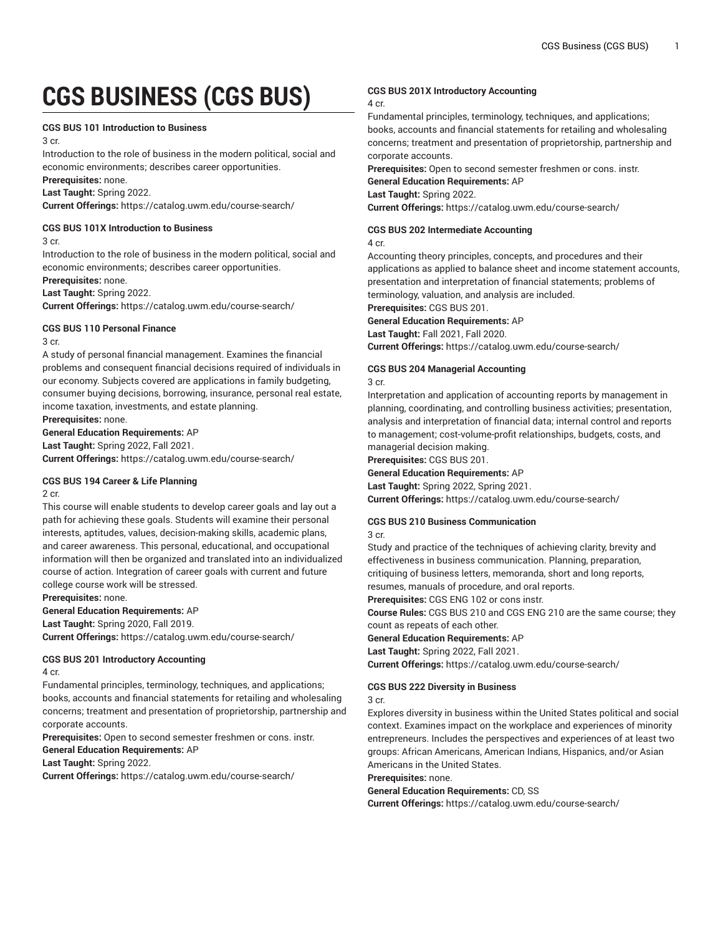# **CGS BUSINESS (CGS BUS)**

#### **CGS BUS 101 Introduction to Business**

3 cr.

Introduction to the role of business in the modern political, social and economic environments; describes career opportunities.

**Prerequisites:** none.

**Last Taught:** Spring 2022.

**Current Offerings:** <https://catalog.uwm.edu/course-search/>

# **CGS BUS 101X Introduction to Business**

3 cr.

Introduction to the role of business in the modern political, social and economic environments; describes career opportunities.

**Prerequisites:** none.

**Last Taught:** Spring 2022.

**Current Offerings:** <https://catalog.uwm.edu/course-search/>

# **CGS BUS 110 Personal Finance**

3 cr.

A study of personal financial management. Examines the financial problems and consequent financial decisions required of individuals in our economy. Subjects covered are applications in family budgeting, consumer buying decisions, borrowing, insurance, personal real estate, income taxation, investments, and estate planning.

**Prerequisites:** none.

**General Education Requirements:** AP **Last Taught:** Spring 2022, Fall 2021.

**Current Offerings:** <https://catalog.uwm.edu/course-search/>

#### **CGS BUS 194 Career & Life Planning**

2 cr.

This course will enable students to develop career goals and lay out a path for achieving these goals. Students will examine their personal interests, aptitudes, values, decision-making skills, academic plans, and career awareness. This personal, educational, and occupational information will then be organized and translated into an individualized course of action. Integration of career goals with current and future college course work will be stressed.

**Prerequisites:** none.

# **General Education Requirements:** AP

**Last Taught:** Spring 2020, Fall 2019. **Current Offerings:** <https://catalog.uwm.edu/course-search/>

**CGS BUS 201 Introductory Accounting**

4 cr.

Fundamental principles, terminology, techniques, and applications; books, accounts and financial statements for retailing and wholesaling concerns; treatment and presentation of proprietorship, partnership and corporate accounts.

**Prerequisites:** Open to second semester freshmen or cons. instr.

**General Education Requirements:** AP

**Last Taught:** Spring 2022.

**Current Offerings:** <https://catalog.uwm.edu/course-search/>

# **CGS BUS 201X Introductory Accounting**

#### 4 cr.

Fundamental principles, terminology, techniques, and applications; books, accounts and financial statements for retailing and wholesaling concerns; treatment and presentation of proprietorship, partnership and corporate accounts.

**Prerequisites:** Open to second semester freshmen or cons. instr.

**General Education Requirements:** AP

**Last Taught:** Spring 2022.

**Current Offerings:** <https://catalog.uwm.edu/course-search/>

# **CGS BUS 202 Intermediate Accounting**

4 cr.

Accounting theory principles, concepts, and procedures and their applications as applied to balance sheet and income statement accounts, presentation and interpretation of financial statements; problems of terminology, valuation, and analysis are included.

**Prerequisites:** CGS BUS 201.

#### **General Education Requirements:** AP

**Last Taught:** Fall 2021, Fall 2020.

**Current Offerings:** <https://catalog.uwm.edu/course-search/>

### **CGS BUS 204 Managerial Accounting**

3 cr.

Interpretation and application of accounting reports by management in planning, coordinating, and controlling business activities; presentation, analysis and interpretation of financial data; internal control and reports to management; cost-volume-profit relationships, budgets, costs, and managerial decision making.

**Prerequisites:** CGS BUS 201.

**General Education Requirements:** AP

**Last Taught:** Spring 2022, Spring 2021.

**Current Offerings:** <https://catalog.uwm.edu/course-search/>

### **CGS BUS 210 Business Communication**

3 cr.

Study and practice of the techniques of achieving clarity, brevity and effectiveness in business communication. Planning, preparation, critiquing of business letters, memoranda, short and long reports, resumes, manuals of procedure, and oral reports.

**Prerequisites:** CGS ENG 102 or cons instr.

**Course Rules:** CGS BUS 210 and CGS ENG 210 are the same course; they count as repeats of each other.

**General Education Requirements:** AP

**Last Taught:** Spring 2022, Fall 2021.

**Current Offerings:** <https://catalog.uwm.edu/course-search/>

# **CGS BUS 222 Diversity in Business**

#### 3 cr.

Explores diversity in business within the United States political and social context. Examines impact on the workplace and experiences of minority entrepreneurs. Includes the perspectives and experiences of at least two groups: African Americans, American Indians, Hispanics, and/or Asian Americans in the United States.

**Prerequisites:** none.

**General Education Requirements:** CD, SS

**Current Offerings:** <https://catalog.uwm.edu/course-search/>